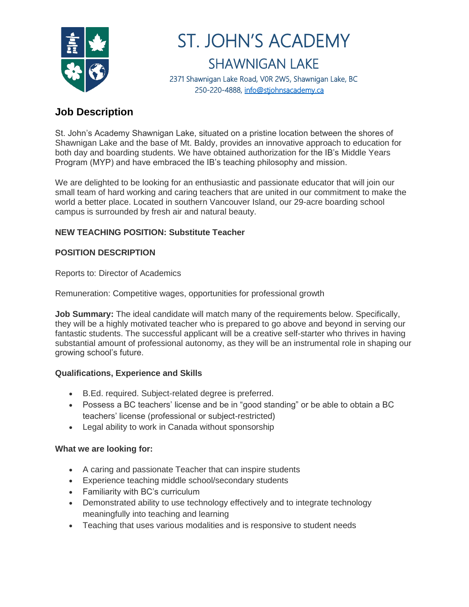

# ST. JOHN'S ACADEMY SHAWNIGAN LAKE 2371 Shawnigan Lake Road, V0R 2W5, Shawnigan Lake, BC 250-220-4888, [info@stjohnsacademy.ca](mailto:info@stjohnsacademy.ca)

## **Job Description**

St. John's Academy Shawnigan Lake, situated on a pristine location between the shores of Shawnigan Lake and the base of Mt. Baldy, provides an innovative approach to education for both day and boarding students. We have obtained authorization for the IB's Middle Years Program (MYP) and have embraced the IB's teaching philosophy and mission.

We are delighted to be looking for an enthusiastic and passionate educator that will join our small team of hard working and caring teachers that are united in our commitment to make the world a better place. Located in southern Vancouver Island, our 29-acre boarding school campus is surrounded by fresh air and natural beauty.

### **NEW TEACHING POSITION: Substitute Teacher**

#### **POSITION DESCRIPTION**

Reports to: Director of Academics

Remuneration: Competitive wages, opportunities for professional growth

**Job Summary:** The ideal candidate will match many of the requirements below. Specifically, they will be a highly motivated teacher who is prepared to go above and beyond in serving our fantastic students. The successful applicant will be a creative self-starter who thrives in having substantial amount of professional autonomy, as they will be an instrumental role in shaping our growing school's future.

#### **Qualifications, Experience and Skills**

- B.Ed. required. Subject-related degree is preferred.
- Possess a BC teachers' license and be in "good standing" or be able to obtain a BC teachers' license (professional or subject-restricted)
- Legal ability to work in Canada without sponsorship

#### **What we are looking for:**

- A caring and passionate Teacher that can inspire students
- Experience teaching middle school/secondary students
- Familiarity with BC's curriculum
- Demonstrated ability to use technology effectively and to integrate technology meaningfully into teaching and learning
- Teaching that uses various modalities and is responsive to student needs